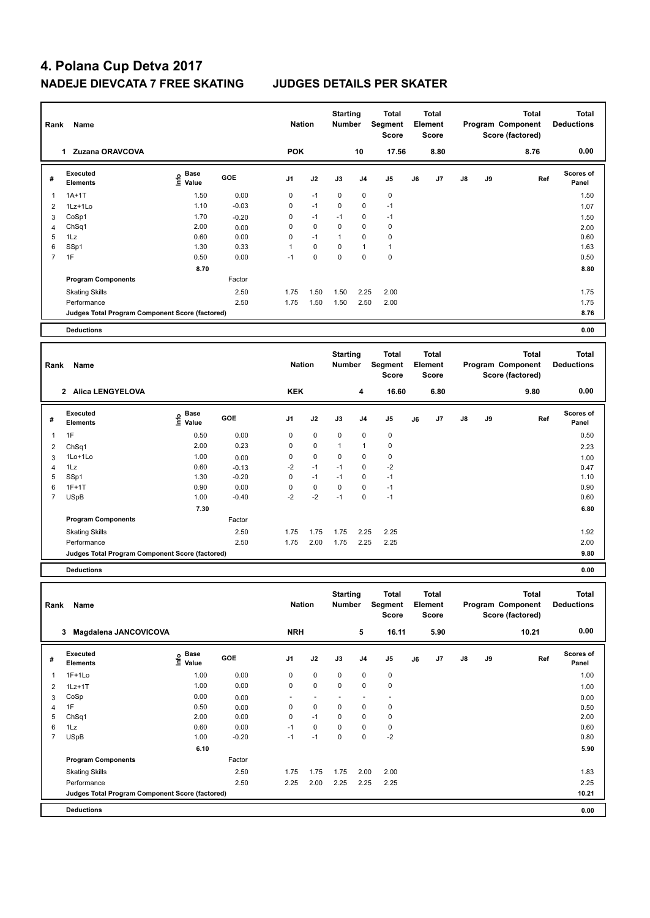| Rank           | Name                                            |                                  |         | <b>Nation</b>  |          | <b>Starting</b><br><b>Number</b> |                | <b>Total</b><br>Segment<br><b>Score</b> |    | <b>Total</b><br>Element<br><b>Score</b> |    |    | <b>Total</b><br>Program Component<br>Score (factored) | <b>Total</b><br><b>Deductions</b> |
|----------------|-------------------------------------------------|----------------------------------|---------|----------------|----------|----------------------------------|----------------|-----------------------------------------|----|-----------------------------------------|----|----|-------------------------------------------------------|-----------------------------------|
|                | Zuzana ORAVCOVA<br>1                            |                                  |         | <b>POK</b>     |          |                                  | 10             | 17.56                                   |    | 8.80                                    |    |    | 8.76                                                  | 0.00                              |
| #              | <b>Executed</b><br><b>Elements</b>              | <b>Base</b><br>e Base<br>⊆ Value | GOE     | J <sub>1</sub> | J2       | J3                               | J <sub>4</sub> | J <sub>5</sub>                          | J6 | J7                                      | J8 | J9 | Ref                                                   | Scores of<br>Panel                |
| $\overline{1}$ | $1A+1T$                                         | 1.50                             | 0.00    | 0              | $-1$     | 0                                | 0              | $\mathbf 0$                             |    |                                         |    |    |                                                       | 1.50                              |
| $\overline{2}$ | $1Lz+1Lo$                                       | 1.10                             | $-0.03$ | 0              | $-1$     | $\mathbf 0$                      | 0              | $-1$                                    |    |                                         |    |    |                                                       | 1.07                              |
| 3              | CoSp1                                           | 1.70                             | $-0.20$ | 0              | $-1$     | $-1$                             | 0              | $-1$                                    |    |                                         |    |    |                                                       | 1.50                              |
| 4              | ChSq1                                           | 2.00                             | 0.00    | 0              | 0        | 0                                | 0              | $\mathbf 0$                             |    |                                         |    |    |                                                       | 2.00                              |
| 5              | 1Lz                                             | 0.60                             | 0.00    | $\Omega$       | $-1$     | $\mathbf{1}$                     | $\Omega$       | $\mathbf 0$                             |    |                                         |    |    |                                                       | 0.60                              |
| 6              | SSp1                                            | 1.30                             | 0.33    | $\mathbf{1}$   | 0        | 0                                | 1              | $\mathbf{1}$                            |    |                                         |    |    |                                                       | 1.63                              |
| $\overline{7}$ | 1F                                              | 0.50                             | 0.00    | $-1$           | $\Omega$ | $\mathbf 0$                      | $\overline{0}$ | $\mathbf 0$                             |    |                                         |    |    |                                                       | 0.50                              |
|                |                                                 | 8.70                             |         |                |          |                                  |                |                                         |    |                                         |    |    |                                                       | 8.80                              |
|                | <b>Program Components</b>                       |                                  | Factor  |                |          |                                  |                |                                         |    |                                         |    |    |                                                       |                                   |
|                | <b>Skating Skills</b>                           |                                  | 2.50    | 1.75           | 1.50     | 1.50                             | 2.25           | 2.00                                    |    |                                         |    |    |                                                       | 1.75                              |
|                | Performance                                     |                                  | 2.50    | 1.75           | 1.50     | 1.50                             | 2.50           | 2.00                                    |    |                                         |    |    |                                                       | 1.75                              |
|                | Judges Total Program Component Score (factored) |                                  |         |                |          |                                  |                |                                         |    |                                         |    |    |                                                       | 8.76                              |
|                | <b>Deductions</b>                               |                                  |         |                |          |                                  |                |                                         |    |                                         |    |    |                                                       | 0.00                              |
| Rank           | Name                                            |                                  |         | <b>Nation</b>  |          | <b>Starting</b><br><b>Number</b> |                | <b>Total</b><br>Segment<br><b>Score</b> |    | <b>Total</b><br>Element<br><b>Score</b> |    |    | <b>Total</b><br>Program Component<br>Score (factored) | <b>Total</b><br><b>Deductions</b> |
|                | <b>Alica LENGYELOVA</b><br>$\mathbf{2}$         |                                  |         | <b>KEK</b>     |          |                                  | 4              | 16.60                                   |    | 6.80                                    |    |    | 9.80                                                  | 0.00                              |
| #              | Executed<br><b>Elements</b>                     | <b>Base</b><br>١nf٥<br>Value     | GOE     | J <sub>1</sub> | J2       | J3                               | J <sub>4</sub> | J <sub>5</sub>                          | J6 | J7                                      | J8 | J9 | Ref                                                   | Scores of<br>Panel                |
| 1              | 1F                                              | 0.50                             | 0.00    | 0              | 0        | 0                                | 0              | $\pmb{0}$                               |    |                                         |    |    |                                                       | 0.50                              |
| 2              | ChSq1                                           | 2.00                             | 0.23    | $\mathbf 0$    | 0        | $\mathbf{1}$                     | 1              | $\pmb{0}$                               |    |                                         |    |    |                                                       | 2.23                              |
| 3              | 1Lo+1Lo                                         | 1.00                             | 0.00    | 0              | 0        | 0                                | 0              | 0                                       |    |                                         |    |    |                                                       | 1.00                              |
| $\overline{4}$ | 1Lz                                             | 0.60                             | $-0.13$ | $-2$           | $-1$     | $-1$                             | 0              | $-2$                                    |    |                                         |    |    |                                                       | 0.47                              |
| 5              | SSp1                                            | 1.30                             | $-0.20$ | $\mathbf 0$    | $-1$     | $-1$                             | $\Omega$       | $-1$                                    |    |                                         |    |    |                                                       | 1.10                              |

|   | <b>Deductions</b>                               |                   |         |      |      |      |      |      |  | 0.00        |
|---|-------------------------------------------------|-------------------|---------|------|------|------|------|------|--|-------------|
|   | Judges Total Program Component Score (factored) |                   |         |      |      |      |      |      |  | 9.80        |
|   | Performance                                     |                   | 2.50    | 1.75 | 2.00 | 1.75 | 2.25 | 2.25 |  | 2.00        |
|   | <b>Skating Skills</b>                           |                   | 2.50    | 1.75 | 1.75 | 1.75 | 2.25 | 2.25 |  | 1.92        |
|   | <b>Program Components</b>                       |                   | Factor  |      |      |      |      |      |  |             |
|   |                                                 | 7.30              |         |      |      |      |      |      |  | 6.80        |
|   | <b>USpB</b>                                     | 1.00              | $-0.40$ | $-2$ | $-2$ | -1   | 0    | -1   |  | 0.60        |
| 6 | $1F+1T$                                         | 0.90              | 0.00    | 0    | 0    | 0    | 0    | -1   |  | 0.90        |
| 5 | SS <sub>p1</sub>                                | 1.30              | $-0.20$ | 0    | -1   | -1   | 0    | -1   |  | 1.10        |
| 4 | 1Lz                                             | 0.60              | $-0.13$ | $-2$ | -1   | -1   | 0    | $-2$ |  | 0.47        |
| ັ | .                                               | $\cdot\cdot\cdot$ | v.vv    | . .  |      |      |      | . .  |  | <b>U.V.</b> |

| Rank           | Name                                            |                           |            | <b>Nation</b>  |             | <b>Starting</b><br><b>Number</b> |                | Total<br>Segment<br><b>Score</b> |    | <b>Total</b><br>Element<br><b>Score</b> |               |    | <b>Total</b><br>Program Component<br>Score (factored) | <b>Total</b><br><b>Deductions</b> |
|----------------|-------------------------------------------------|---------------------------|------------|----------------|-------------|----------------------------------|----------------|----------------------------------|----|-----------------------------------------|---------------|----|-------------------------------------------------------|-----------------------------------|
|                | Magdalena JANCOVICOVA<br>3                      |                           |            | <b>NRH</b>     |             |                                  | 5              | 16.11                            |    | 5.90                                    |               |    | 10.21                                                 | 0.00                              |
| #              | Executed<br><b>Elements</b>                     | Base<br>e Base<br>⊆ Value | <b>GOE</b> | J <sub>1</sub> | J2          | J3                               | J <sub>4</sub> | J <sub>5</sub>                   | J6 | J <sub>7</sub>                          | $\mathsf{J}8$ | J9 | Ref                                                   | <b>Scores of</b><br>Panel         |
| $\overline{1}$ | $1F+1Lo$                                        | 1.00                      | 0.00       | 0              | $\mathbf 0$ | 0                                | 0              | 0                                |    |                                         |               |    |                                                       | 1.00                              |
| 2              | $1Lz+1T$                                        | 1.00                      | 0.00       | 0              | $\mathbf 0$ | 0                                | 0              | 0                                |    |                                         |               |    |                                                       | 1.00                              |
| 3              | CoSp                                            | 0.00                      | 0.00       |                |             |                                  |                | ٠                                |    |                                         |               |    |                                                       | 0.00                              |
| 4              | 1F                                              | 0.50                      | 0.00       | 0              | $\mathbf 0$ | 0                                | 0              | 0                                |    |                                         |               |    |                                                       | 0.50                              |
| 5              | Ch <sub>Sq1</sub>                               | 2.00                      | 0.00       | 0              | $-1$        | 0                                | 0              | 0                                |    |                                         |               |    |                                                       | 2.00                              |
| 6              | 1Lz                                             | 0.60                      | 0.00       | $-1$           | 0           | 0                                | 0              | 0                                |    |                                         |               |    |                                                       | 0.60                              |
| $\overline{7}$ | <b>USpB</b>                                     | 1.00                      | $-0.20$    | $-1$           | $-1$        | 0                                | 0              | $-2$                             |    |                                         |               |    |                                                       | 0.80                              |
|                |                                                 | 6.10                      |            |                |             |                                  |                |                                  |    |                                         |               |    |                                                       | 5.90                              |
|                | <b>Program Components</b>                       |                           | Factor     |                |             |                                  |                |                                  |    |                                         |               |    |                                                       |                                   |
|                | <b>Skating Skills</b>                           |                           | 2.50       | 1.75           | 1.75        | 1.75                             | 2.00           | 2.00                             |    |                                         |               |    |                                                       | 1.83                              |
|                | Performance                                     |                           | 2.50       | 2.25           | 2.00        | 2.25                             | 2.25           | 2.25                             |    |                                         |               |    |                                                       | 2.25                              |
|                | Judges Total Program Component Score (factored) |                           |            |                |             |                                  |                |                                  |    |                                         |               |    |                                                       | 10.21                             |
|                | <b>Deductions</b>                               |                           |            |                |             |                                  |                |                                  |    |                                         |               |    |                                                       | 0.00                              |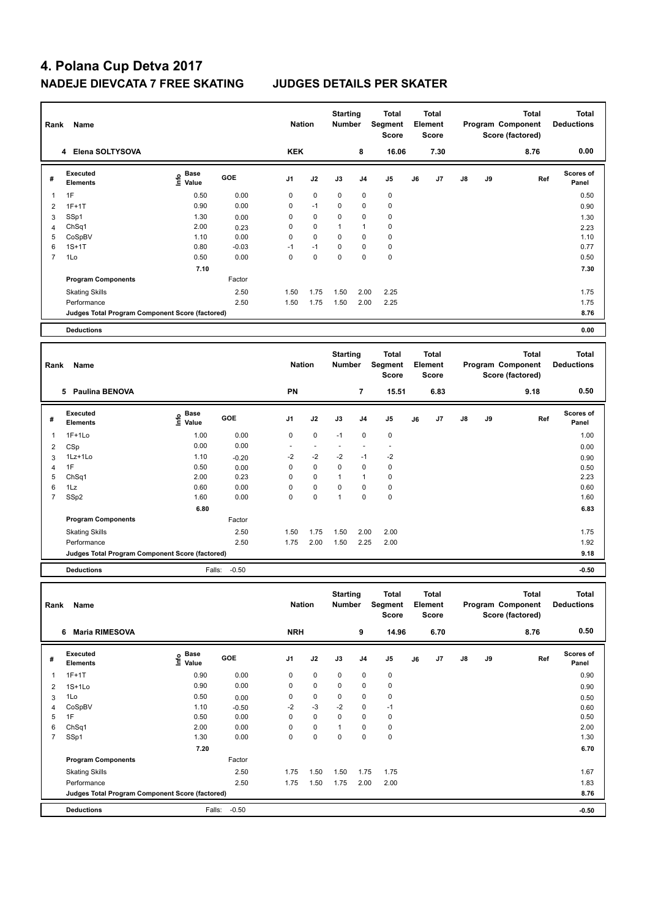| Rank           | Name                                            |                              |              | <b>Nation</b>  |      | <b>Starting</b><br><b>Number</b> |                | Total<br>Segment<br><b>Score</b>        |    | <b>Total</b><br>Element<br><b>Score</b> |    |    | <b>Total</b><br>Program Component<br>Score (factored) | <b>Total</b><br><b>Deductions</b> |
|----------------|-------------------------------------------------|------------------------------|--------------|----------------|------|----------------------------------|----------------|-----------------------------------------|----|-----------------------------------------|----|----|-------------------------------------------------------|-----------------------------------|
|                | 4 Elena SOLTYSOVA                               |                              |              | <b>KEK</b>     |      |                                  | 8              | 16.06                                   |    | 7.30                                    |    |    | 8.76                                                  | 0.00                              |
| #              | <b>Executed</b><br><b>Elements</b>              | Base<br>e Base<br>⊆ Value    | GOE          | J <sub>1</sub> | J2   | J3                               | J <sub>4</sub> | J <sub>5</sub>                          | J6 | J7                                      | J8 | J9 | Ref                                                   | Scores of<br>Panel                |
| 1              | 1F                                              | 0.50                         | 0.00         | $\mathbf 0$    | 0    | 0                                | 0              | $\pmb{0}$                               |    |                                         |    |    |                                                       | 0.50                              |
| $\overline{2}$ | $1F+1T$                                         | 0.90                         | 0.00         | $\mathbf 0$    | $-1$ | 0                                | 0              | 0                                       |    |                                         |    |    |                                                       | 0.90                              |
| 3              | SSp1                                            | 1.30                         | 0.00         | 0              | 0    | 0                                | 0              | $\pmb{0}$                               |    |                                         |    |    |                                                       | 1.30                              |
| $\overline{4}$ | ChSq1                                           | 2.00                         | 0.23         | $\mathbf 0$    | 0    | $\mathbf{1}$                     | $\mathbf{1}$   | $\pmb{0}$                               |    |                                         |    |    |                                                       | 2.23                              |
| 5              | CoSpBV                                          | 1.10                         | 0.00         | $\mathbf 0$    | 0    | 0                                | 0              | $\pmb{0}$                               |    |                                         |    |    |                                                       | 1.10                              |
| 6              | $1S+1T$                                         | 0.80                         | $-0.03$      | $-1$           | $-1$ | 0                                | 0              | $\mathbf 0$                             |    |                                         |    |    |                                                       | 0.77                              |
| $\overline{7}$ | 1Lo                                             | 0.50                         | 0.00         | $\mathbf 0$    | 0    | 0                                | 0              | $\pmb{0}$                               |    |                                         |    |    |                                                       | 0.50                              |
|                |                                                 | 7.10                         |              |                |      |                                  |                |                                         |    |                                         |    |    |                                                       | 7.30                              |
|                | <b>Program Components</b>                       |                              | Factor       |                |      |                                  |                |                                         |    |                                         |    |    |                                                       |                                   |
|                | <b>Skating Skills</b>                           |                              | 2.50         | 1.50           | 1.75 | 1.50                             | 2.00           | 2.25                                    |    |                                         |    |    |                                                       | 1.75                              |
|                | Performance                                     |                              | 2.50         | 1.50           | 1.75 | 1.50                             | 2.00           | 2.25                                    |    |                                         |    |    |                                                       | 1.75                              |
|                | Judges Total Program Component Score (factored) |                              |              |                |      |                                  |                |                                         |    |                                         |    |    |                                                       | 8.76                              |
|                | <b>Deductions</b>                               |                              |              |                |      |                                  |                |                                         |    |                                         |    |    |                                                       | 0.00                              |
|                |                                                 |                              |              |                |      |                                  |                |                                         |    |                                         |    |    |                                                       |                                   |
|                |                                                 |                              |              |                |      |                                  |                |                                         |    |                                         |    |    |                                                       |                                   |
| Rank           | <b>Name</b>                                     |                              |              | <b>Nation</b>  |      | <b>Starting</b><br>Number        |                | <b>Total</b><br>Segment<br><b>Score</b> |    | <b>Total</b><br>Element<br><b>Score</b> |    |    | <b>Total</b><br>Program Component<br>Score (factored) | <b>Total</b><br><b>Deductions</b> |
|                | 5 Paulina BENOVA                                |                              |              | PN             |      |                                  | $\overline{7}$ | 15.51                                   |    | 6.83                                    |    |    | 9.18                                                  | 0.50                              |
| #              | Executed<br><b>Elements</b>                     | <b>Base</b><br>lnfo<br>Value | GOE          | J <sub>1</sub> | J2   | J3                               | J4             | J5                                      | J6 | J <sub>7</sub>                          | J8 | J9 | Ref                                                   | <b>Scores of</b><br>Panel         |
| $\overline{1}$ | $1F+1Lo$                                        | 1.00                         | 0.00         | $\mathbf 0$    | 0    | $-1$                             | 0              | $\mathbf 0$                             |    |                                         |    |    |                                                       | 1.00                              |
| $\overline{2}$ |                                                 | 0.00                         | 0.00         | $\sim$         | ÷.   | ÷.                               | ÷.             | $\mathbf{r}$                            |    |                                         |    |    |                                                       |                                   |
| 3              | CSp<br>1Lz+1Lo                                  | 1.10                         | $-0.20$      | $-2$           | $-2$ | $-2$                             | $-1$           | $-2$                                    |    |                                         |    |    |                                                       | 0.00                              |
| 4              | 1F                                              | 0.50                         |              | $\mathbf 0$    | 0    | 0                                | $\mathbf 0$    | $\pmb{0}$                               |    |                                         |    |    |                                                       | 0.90                              |
| 5              | Ch <sub>Sq1</sub>                               | 2.00                         | 0.00<br>0.23 | 0              | 0    | 1                                | 1              | $\mathbf 0$                             |    |                                         |    |    |                                                       | 0.50<br>2.23                      |
| 6              | 1Lz                                             | 0.60                         | 0.00         | 0              | 0    | 0                                | 0              | $\pmb{0}$                               |    |                                         |    |    |                                                       | 0.60                              |
| $\overline{7}$ | SSp2                                            | 1.60                         | 0.00         | $\Omega$       | 0    | $\mathbf{1}$                     | $\Omega$       | $\mathbf 0$                             |    |                                         |    |    |                                                       | 1.60                              |
|                |                                                 | 6.80                         |              |                |      |                                  |                |                                         |    |                                         |    |    |                                                       | 6.83                              |
|                | <b>Program Components</b>                       |                              | Factor       |                |      |                                  |                |                                         |    |                                         |    |    |                                                       |                                   |

**Judges Total Program Component Score (factored) 9.18**

**Deductions** Falls: -0.50 **-0.50**

| Rank           | Name                                            |                             |            | <b>Nation</b>  |             | <b>Starting</b><br>Number |                | <b>Total</b><br>Segment<br>Score |    | <b>Total</b><br>Element<br><b>Score</b> |    |    | <b>Total</b><br>Program Component<br>Score (factored) | <b>Total</b><br><b>Deductions</b> |
|----------------|-------------------------------------------------|-----------------------------|------------|----------------|-------------|---------------------------|----------------|----------------------------------|----|-----------------------------------------|----|----|-------------------------------------------------------|-----------------------------------|
|                | <b>Maria RIMESOVA</b><br>6                      |                             |            | <b>NRH</b>     |             |                           | 9              | 14.96                            |    | 6.70                                    |    |    | 8.76                                                  | 0.50                              |
| #              | Executed<br><b>Elements</b>                     | Base<br>$\frac{e}{E}$ Value | <b>GOE</b> | J <sub>1</sub> | J2          | J3                        | J <sub>4</sub> | J5                               | J6 | J7                                      | J8 | J9 | Ref                                                   | <b>Scores of</b><br>Panel         |
| $\overline{1}$ | $1F+1T$                                         | 0.90                        | 0.00       | 0              | $\mathbf 0$ | 0                         | $\mathbf 0$    | 0                                |    |                                         |    |    |                                                       | 0.90                              |
| $\overline{2}$ | $1S+1Lo$                                        | 0.90                        | 0.00       | 0              | $\mathbf 0$ | $\mathbf 0$               | $\mathbf 0$    | $\pmb{0}$                        |    |                                         |    |    |                                                       | 0.90                              |
| 3              | 1Lo                                             | 0.50                        | 0.00       | 0              | $\mathbf 0$ | 0                         | 0              | 0                                |    |                                         |    |    |                                                       | 0.50                              |
| 4              | CoSpBV                                          | 1.10                        | $-0.50$    | $-2$           | $-3$        | $-2$                      | $\mathbf 0$    | $-1$                             |    |                                         |    |    |                                                       | 0.60                              |
| 5              | 1F                                              | 0.50                        | 0.00       | 0              | $\mathbf 0$ | $\mathbf 0$               | $\mathbf 0$    | $\pmb{0}$                        |    |                                         |    |    |                                                       | 0.50                              |
| 6              | ChSq1                                           | 2.00                        | 0.00       | 0              | $\mathbf 0$ | 1                         | $\mathbf 0$    | $\pmb{0}$                        |    |                                         |    |    |                                                       | 2.00                              |
| 7              | SSp1                                            | 1.30                        | 0.00       | 0              | $\mathbf 0$ | 0                         | 0              | $\mathbf 0$                      |    |                                         |    |    |                                                       | 1.30                              |
|                |                                                 | 7.20                        |            |                |             |                           |                |                                  |    |                                         |    |    |                                                       | 6.70                              |
|                | <b>Program Components</b>                       |                             | Factor     |                |             |                           |                |                                  |    |                                         |    |    |                                                       |                                   |
|                | <b>Skating Skills</b>                           |                             | 2.50       | 1.75           | 1.50        | 1.50                      | 1.75           | 1.75                             |    |                                         |    |    |                                                       | 1.67                              |
|                | Performance                                     |                             | 2.50       | 1.75           | 1.50        | 1.75                      | 2.00           | 2.00                             |    |                                         |    |    |                                                       | 1.83                              |
|                | Judges Total Program Component Score (factored) |                             |            |                |             |                           |                |                                  |    |                                         |    |    |                                                       | 8.76                              |
|                | <b>Deductions</b>                               | Falls:                      | $-0.50$    |                |             |                           |                |                                  |    |                                         |    |    |                                                       | $-0.50$                           |

Performance 2.50 1.75 2.00 1.50 2.25 2.00 1.92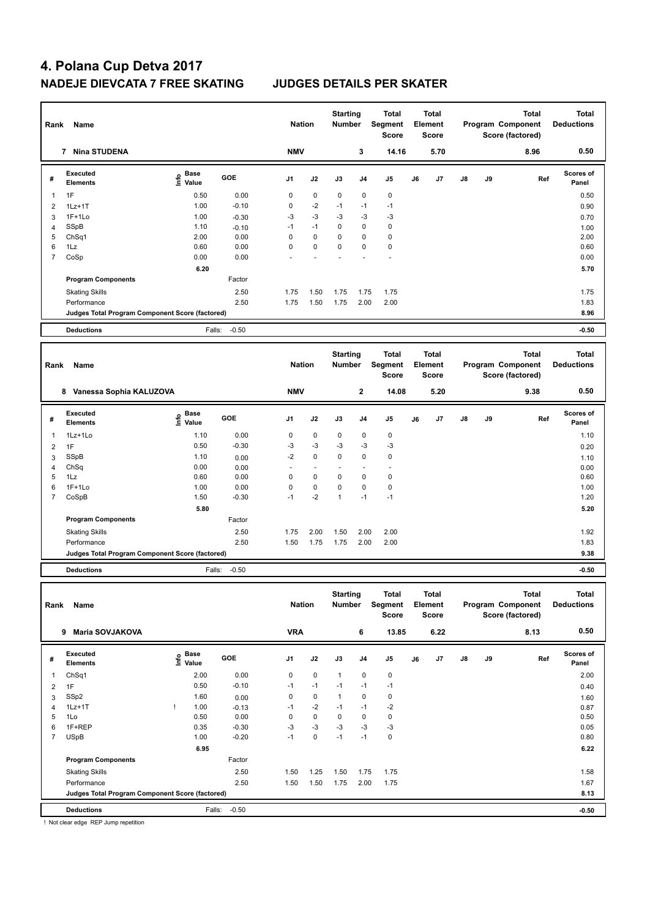| Rank                | Name                                            |                                           |              | <b>Nation</b>  |             | <b>Starting</b><br><b>Number</b> |                | <b>Total</b><br>Segment<br><b>Score</b> |    | <b>Total</b><br>Element<br><b>Score</b> |    |    | <b>Total</b><br>Program Component<br>Score (factored) | <b>Total</b><br><b>Deductions</b> |
|---------------------|-------------------------------------------------|-------------------------------------------|--------------|----------------|-------------|----------------------------------|----------------|-----------------------------------------|----|-----------------------------------------|----|----|-------------------------------------------------------|-----------------------------------|
|                     | 7 Nina STUDENA                                  |                                           |              | <b>NMV</b>     |             |                                  | 3              | 14.16                                   |    | 5.70                                    |    |    | 8.96                                                  | 0.50                              |
| #                   | <b>Executed</b><br><b>Elements</b>              | $\frac{e}{E}$ Base<br>$\frac{e}{E}$ Value | GOE          | J <sub>1</sub> | J2          | J3                               | J <sub>4</sub> | J <sub>5</sub>                          | J6 | J7                                      | J8 | J9 | Ref                                                   | <b>Scores of</b><br>Panel         |
| $\mathbf{1}$        | 1F                                              | 0.50                                      | 0.00         | $\mathbf 0$    | $\mathbf 0$ | 0                                | $\mathbf 0$    | $\mathbf 0$                             |    |                                         |    |    |                                                       | 0.50                              |
| $\overline{2}$      | $1Lz+1T$                                        | 1.00                                      | $-0.10$      | $\mathbf 0$    | $-2$        | $-1$                             | $-1$           | $-1$                                    |    |                                         |    |    |                                                       | 0.90                              |
| 3                   | $1F+1Lo$                                        | 1.00                                      | $-0.30$      | -3             | $-3$        | $-3$                             | $-3$           | -3                                      |    |                                         |    |    |                                                       | 0.70                              |
| $\overline{4}$      | SSpB                                            | 1.10                                      | $-0.10$      | $-1$           | $-1$        | 0                                | $\mathbf 0$    | $\mathbf 0$                             |    |                                         |    |    |                                                       | 1.00                              |
| 5                   | ChSq1                                           | 2.00                                      | 0.00         | $\mathbf 0$    | 0           | 0                                | $\mathbf 0$    | $\mathbf 0$                             |    |                                         |    |    |                                                       | 2.00                              |
| 6                   | $1\mathsf{L}z$                                  | 0.60                                      | 0.00         | $\Omega$       | $\Omega$    | $\mathbf 0$                      | $\Omega$       | $\mathbf 0$                             |    |                                         |    |    |                                                       | 0.60                              |
| $\overline{7}$      | CoSp                                            | 0.00                                      | 0.00         |                |             |                                  |                | $\ddot{\phantom{1}}$                    |    |                                         |    |    |                                                       | 0.00                              |
|                     |                                                 | 6.20                                      |              |                |             |                                  |                |                                         |    |                                         |    |    |                                                       | 5.70                              |
|                     | <b>Program Components</b>                       |                                           | Factor       |                |             |                                  |                |                                         |    |                                         |    |    |                                                       |                                   |
|                     | <b>Skating Skills</b>                           |                                           | 2.50         | 1.75           | 1.50        | 1.75                             | 1.75           | 1.75                                    |    |                                         |    |    |                                                       | 1.75                              |
|                     | Performance                                     |                                           | 2.50         | 1.75           | 1.50        | 1.75                             | 2.00           | 2.00                                    |    |                                         |    |    |                                                       | 1.83                              |
|                     | Judges Total Program Component Score (factored) |                                           |              |                |             |                                  |                |                                         |    |                                         |    |    |                                                       | 8.96                              |
|                     | <b>Deductions</b>                               | Falls:                                    | $-0.50$      |                |             |                                  |                |                                         |    |                                         |    |    |                                                       | $-0.50$                           |
|                     |                                                 |                                           |              |                |             |                                  |                |                                         |    |                                         |    |    |                                                       |                                   |
|                     |                                                 |                                           |              |                |             |                                  |                |                                         |    |                                         |    |    |                                                       |                                   |
|                     |                                                 |                                           |              |                |             | <b>Starting</b>                  |                | <b>Total</b>                            |    | <b>Total</b>                            |    |    | <b>Total</b>                                          | <b>Total</b>                      |
| Rank                | Name                                            |                                           |              | <b>Nation</b>  |             | <b>Number</b>                    |                | Segment                                 |    | Element                                 |    |    | Program Component                                     | <b>Deductions</b>                 |
|                     |                                                 |                                           |              |                |             |                                  |                | <b>Score</b>                            |    | <b>Score</b>                            |    |    | Score (factored)                                      |                                   |
|                     | 8 Vanessa Sophia KALUZOVA                       |                                           |              | <b>NMV</b>     |             |                                  | $\mathbf 2$    | 14.08                                   |    | 5.20                                    |    |    | 9.38                                                  | 0.50                              |
| #                   | <b>Executed</b><br><b>Elements</b>              | <b>Base</b><br>١nf٥<br>Value              | GOE          | J1             | J2          | J3                               | J <sub>4</sub> | J <sub>5</sub>                          | J6 | J7                                      | J8 | J9 | Ref                                                   | <b>Scores of</b><br>Panel         |
| $\mathbf{1}$        | 1Lz+1Lo                                         | 1.10                                      | 0.00         | $\mathbf 0$    | $\pmb{0}$   | 0                                | $\mathbf 0$    | $\pmb{0}$                               |    |                                         |    |    |                                                       | 1.10                              |
| $\overline{2}$      | 1F                                              | 0.50                                      | $-0.30$      | -3             | $-3$        | $-3$                             | $-3$           | $-3$                                    |    |                                         |    |    |                                                       | 0.20                              |
|                     | SSpB                                            | 1.10                                      |              | $-2$           | 0           | $\mathbf 0$                      | $\mathbf 0$    | $\mathbf 0$                             |    |                                         |    |    |                                                       |                                   |
| 3<br>$\overline{4}$ | ChSq                                            | 0.00                                      | 0.00<br>0.00 |                | ä,          |                                  | ÷,             | ä,                                      |    |                                         |    |    |                                                       | 1.10<br>0.00                      |
| 5                   | 1Lz                                             | 0.60                                      | 0.00         | 0              | 0           | 0                                | $\mathbf 0$    | $\mathbf 0$                             |    |                                         |    |    |                                                       | 0.60                              |
| 6                   | $1F+1Lo$                                        | 1.00                                      | 0.00         | $\mathbf 0$    | 0           | 0                                | $\pmb{0}$      | $\pmb{0}$                               |    |                                         |    |    |                                                       | 1.00                              |
| $\overline{7}$      | CoSpB                                           | 1.50                                      | $-0.30$      | $-1$           | $-2$        | $\mathbf{1}$                     | $-1$           | $-1$                                    |    |                                         |    |    |                                                       | 1.20                              |
|                     |                                                 | 5.80                                      |              |                |             |                                  |                |                                         |    |                                         |    |    |                                                       | 5.20                              |
|                     | <b>Program Components</b>                       |                                           | Factor       |                |             |                                  |                |                                         |    |                                         |    |    |                                                       |                                   |
|                     | <b>Skating Skills</b>                           |                                           | 2.50         | 1.75           | 2.00        | 1.50                             | 2.00           | 2.00                                    |    |                                         |    |    |                                                       | 1.92                              |
|                     | Performance                                     |                                           | 2.50         | 1.50           | 1.75        | 1.75                             | 2.00           | 2.00                                    |    |                                         |    |    |                                                       | 1.83                              |
|                     | Judges Total Program Component Score (factored) |                                           |              |                |             |                                  |                |                                         |    |                                         |    |    |                                                       | 9.38                              |

**Deductions** Falls: -0.50 **-0.50**

| Rank | Name                                                                                                                                                                                                                                                                                                                             |                                  |            | <b>Nation</b>  |             | <b>Starting</b><br><b>Number</b> |      | Total<br>Segment<br><b>Score</b> |    | <b>Total</b><br>Element<br><b>Score</b> |    |    | <b>Total</b><br>Program Component<br>Score (factored) | <b>Total</b><br><b>Deductions</b> |
|------|----------------------------------------------------------------------------------------------------------------------------------------------------------------------------------------------------------------------------------------------------------------------------------------------------------------------------------|----------------------------------|------------|----------------|-------------|----------------------------------|------|----------------------------------|----|-----------------------------------------|----|----|-------------------------------------------------------|-----------------------------------|
|      | <b>Maria SOVJAKOVA</b><br>9                                                                                                                                                                                                                                                                                                      |                                  |            | <b>VRA</b>     |             |                                  | 6    | 13.85                            |    | 6.22                                    |    |    | 8.13                                                  | 0.50                              |
| #    | Executed<br><b>Elements</b>                                                                                                                                                                                                                                                                                                      | <b>Base</b><br>e Base<br>E Value | <b>GOE</b> | J <sub>1</sub> | J2          | J3                               | J4   | J <sub>5</sub>                   | J6 | J <sub>7</sub>                          | J8 | J9 | Ref                                                   | <b>Scores of</b><br>Panel         |
| 1    | Ch <sub>Sq1</sub>                                                                                                                                                                                                                                                                                                                | 2.00                             | 0.00       | 0              | $\mathbf 0$ | $\mathbf{1}$                     | 0    | 0                                |    |                                         |    |    |                                                       | 2.00                              |
| 2    | 1F                                                                                                                                                                                                                                                                                                                               | 0.50                             | $-0.10$    | $-1$           | $-1$        | $-1$                             | $-1$ | $-1$                             |    |                                         |    |    |                                                       | 0.40                              |
| 3    | SSp2                                                                                                                                                                                                                                                                                                                             | 1.60                             | 0.00       | 0              | 0           | $\mathbf{1}$                     | 0    | 0                                |    |                                         |    |    |                                                       | 1.60                              |
| 4    | $1Lz+1T$                                                                                                                                                                                                                                                                                                                         | 1.00                             | $-0.13$    | $-1$           | $-2$        | $-1$                             | $-1$ | $-2$                             |    |                                         |    |    |                                                       | 0.87                              |
| 5    | 1Lo                                                                                                                                                                                                                                                                                                                              | 0.50                             | 0.00       | 0              | $\mathbf 0$ | $\mathbf 0$                      | 0    | 0                                |    |                                         |    |    |                                                       | 0.50                              |
| 6    | 1F+REP                                                                                                                                                                                                                                                                                                                           | 0.35                             | $-0.30$    | $-3$           | $-3$        | $-3$                             | $-3$ | $-3$                             |    |                                         |    |    |                                                       | 0.05                              |
| 7    | <b>USpB</b>                                                                                                                                                                                                                                                                                                                      | 1.00                             | $-0.20$    | $-1$           | $\mathbf 0$ | $-1$                             | $-1$ | $\pmb{0}$                        |    |                                         |    |    |                                                       | 0.80                              |
|      |                                                                                                                                                                                                                                                                                                                                  | 6.95                             |            |                |             |                                  |      |                                  |    |                                         |    |    |                                                       | 6.22                              |
|      | <b>Program Components</b>                                                                                                                                                                                                                                                                                                        |                                  | Factor     |                |             |                                  |      |                                  |    |                                         |    |    |                                                       |                                   |
|      | <b>Skating Skills</b>                                                                                                                                                                                                                                                                                                            |                                  | 2.50       | 1.50           | 1.25        | 1.50                             | 1.75 | 1.75                             |    |                                         |    |    |                                                       | 1.58                              |
|      | Performance                                                                                                                                                                                                                                                                                                                      |                                  | 2.50       | 1.50           | 1.50        | 1.75                             | 2.00 | 1.75                             |    |                                         |    |    |                                                       | 1.67                              |
|      | Judges Total Program Component Score (factored)                                                                                                                                                                                                                                                                                  |                                  |            |                |             |                                  |      |                                  |    |                                         |    |    |                                                       | 8.13                              |
|      | <b>Deductions</b><br>$\mathbf{r}$ , $\mathbf{r}$ , $\mathbf{r}$ , $\mathbf{r}$ , $\mathbf{r}$ , $\mathbf{r}$ , $\mathbf{r}$ , $\mathbf{r}$ , $\mathbf{r}$ , $\mathbf{r}$ , $\mathbf{r}$ , $\mathbf{r}$ , $\mathbf{r}$ , $\mathbf{r}$ , $\mathbf{r}$ , $\mathbf{r}$ , $\mathbf{r}$ , $\mathbf{r}$ , $\mathbf{r}$ , $\mathbf{r}$ , | Falls:                           | $-0.50$    |                |             |                                  |      |                                  |    |                                         |    |    |                                                       | $-0.50$                           |

! Not clear edge REP Jump repetition